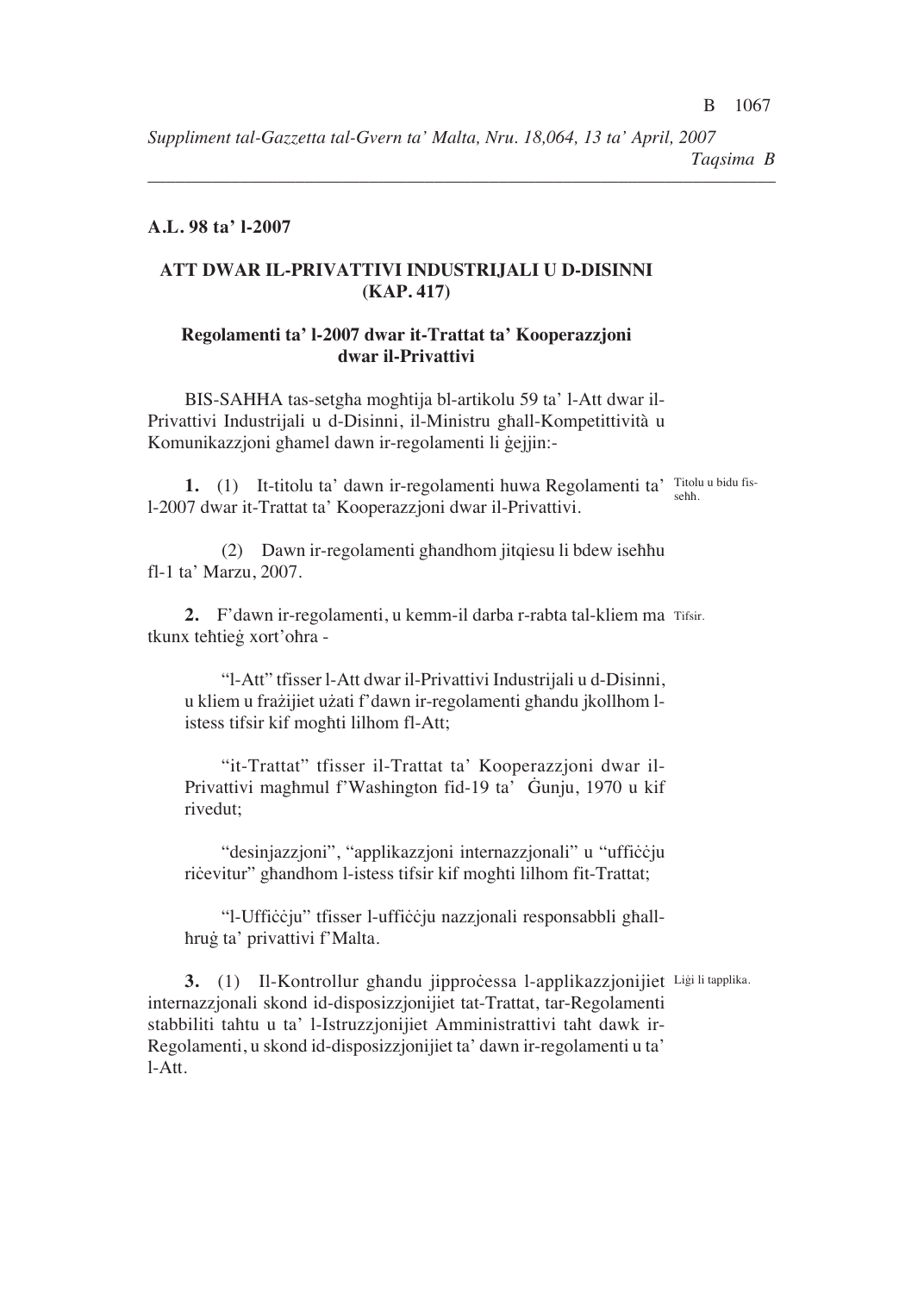*Suppliment tal-Gazzetta tal-Gvern ta' Malta, Nru. 18,064, 13 ta' April, 2007 Taqsima B*

*––––––––––––––––––––––––––––––––––––––––––––––––––––––––––––––––––––*

## **A.L. 98 ta' l-2007**

# **ATT DWAR IL-PRIVATTIVI INDUSTRIJALI U D-DISINNI (KAP. 417)**

# **Regolamenti ta' l-2007 dwar it-Trattat ta' Kooperazzjoni dwar il-Privattivi**

BIS-SAHHA tas-setgha moghtija bl-artikolu 59 ta' l-Att dwar il-Privattivi Industrijali u d-Disinni, il-Ministru ghall-Kompetittività u Komunikazzjoni ghamel dawn ir-regolamenti li gejjin:-

**1.** (1) It-titolu ta' dawn ir-regolamenti huwa Regolamenti ta' Titolu u bidu fisl-2007 dwar it-Trattat ta' Kooperazzjoni dwar il-Privattivi. sehh.

(2) Dawn ir-regolamenti ghandhom jitqiesu li bdew isehhu fl-1 ta' Marzu, 2007.

**2.** F'dawn ir-regolamenti, u kemm-il darba r-rabta tal-kliem ma Tifsir. tkunx tehtieg xort'ohra -

"l-Att" tfisser l-Att dwar il-Privattivi Industrijali u d-Disinni, u kliem u frażijiet użati f'dawn ir-regolamenti ghandu jkollhom listess tifsir kif moghti lilhom fl-Att;

"it-Trattat" tfisser il-Trattat ta' Kooperazzjoni dwar il-Privattivi maghmul f'Washington fid-19 ta' Gunju, 1970 u kif rivedut<

"desinjazzjoni", "applikazzjoni internazzjonali" u "uffiççju ricevitur" ghandhom l-istess tifsir kif moghti lilhom fit-Trattat;

"l-Ufficcju" tfisser l-ufficcju nazzjonali responsabbli ghallhrug ta' privattivi f'Malta.

3. (1) Il-Kontrollur ghandu jipprocessa l-applikazzjonijiet Ligi li tapplika. internazzjonali skond id-disposizzjonijiet tat-Trattat, tar-Regolamenti stabbiliti tahtu u ta' l-Istruzzjonijiet Amministrattivi taht dawk ir-Regolamenti, u skond id-disposizzjonijiet ta' dawn ir-regolamenti u ta' l-Att.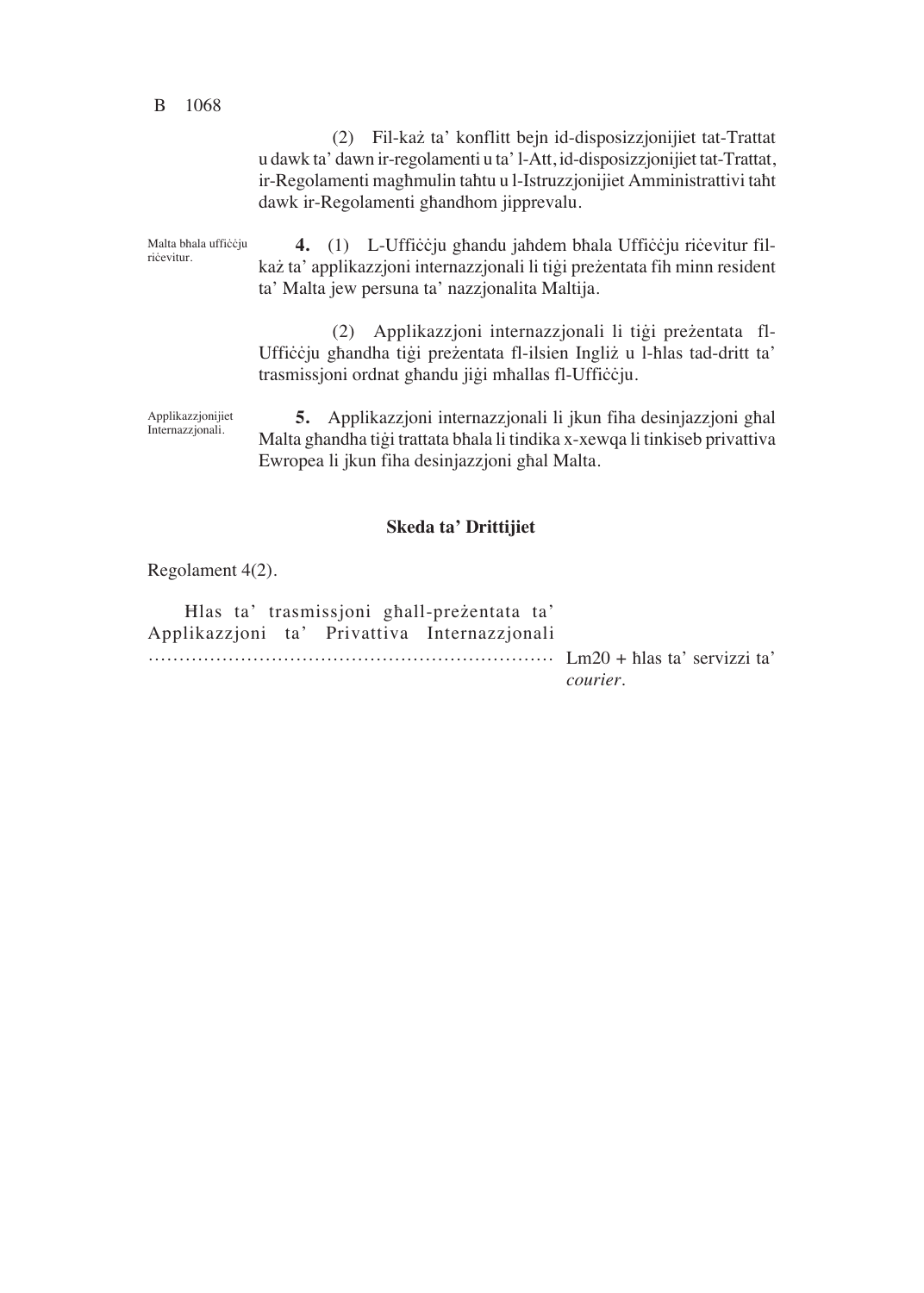#### B 1068

(2) Fil-każ ta' konflitt bejn id-disposizzjonijiet tat-Trattat u dawk ta' dawn ir-regolamenti u ta' l-Att, id-disposizzjonijiet tat-Trattat, ir-Regolamenti maghmulin tahtu u l-Istruzzjonijiet Amministrattivi taht dawk ir-Regolamenti ghandhom jipprevalu.

**4.** (1) L-Ufficcju ghandu jahdem bhala Ufficcju ricevitur filkaż ta' applikazzjoni internazzjonali li tigi preżentata fih minn resident ta' Malta jew persuna ta' nazzjonalita Maltija. Malta bhala ufficcju ricevitur.

> (2) Applikazzjoni internazzjonali li tigi preżentata fl-Ufficcju ghandha tigi preżentata fl-ilsien Ingliż u l-hlas tad-dritt ta' trasmissjoni ordnat ghandu jigi mhallas fl-Ufficcju.

**5.** Applikazzjoni internazzjonali li jkun fiha desinjazzjoni ghal Malta ghandha tigi trattata bhala li tindika x-xewqa li tinkiseb privattiva Ewropea li jkun fiha desinjazzjoni ghal Malta. Applikazzjonijiet Internazzjonali.

### **Skeda ta' Drittijiet**

Regolament 4(2).

Hlas ta' trasmissjoni ghall-preżentata ta' Applikazzjoni ta' Privattiva Internazzjonali ………………………………………………………… Lm20 + [las ta' servizzi ta' *courier*.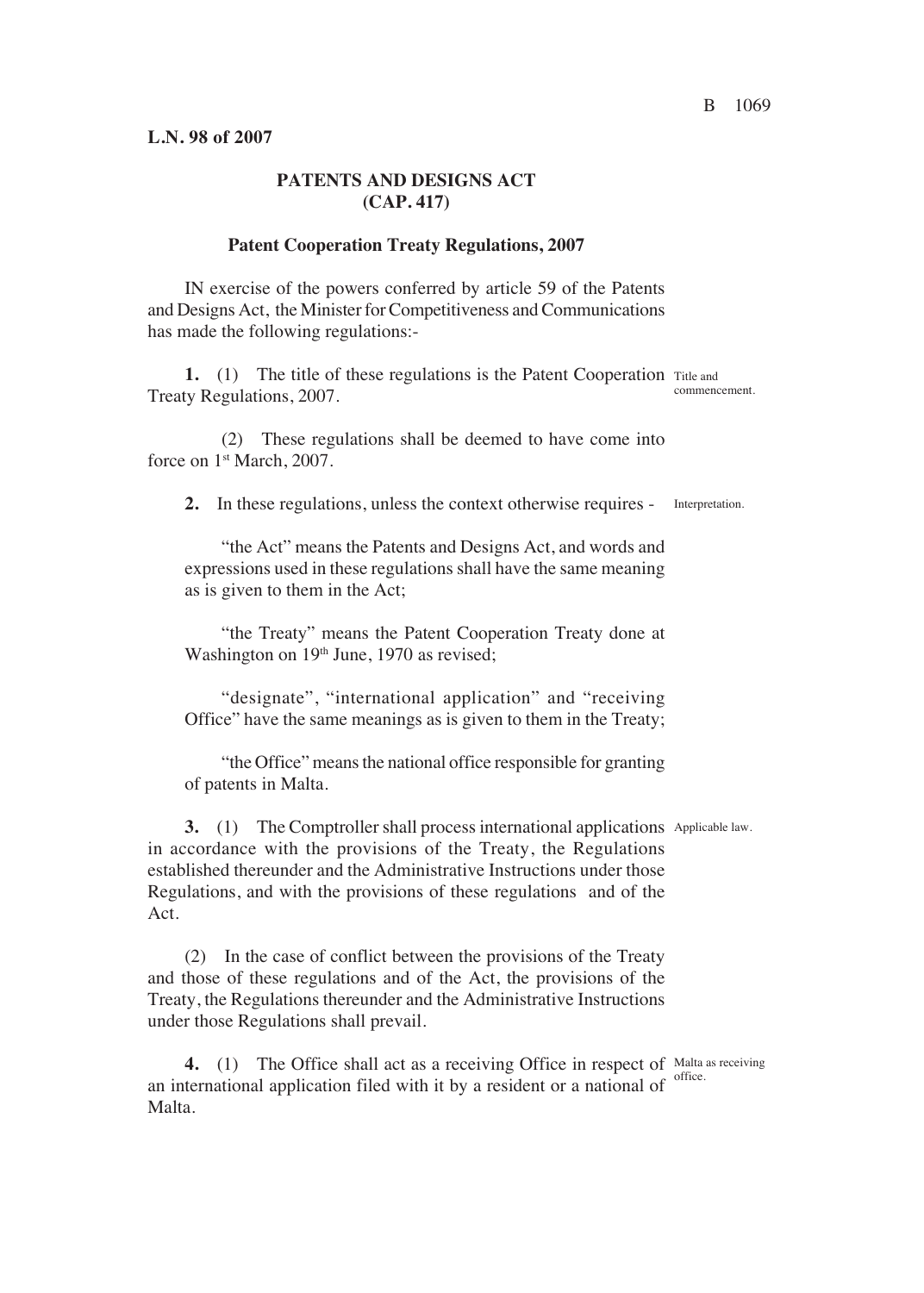## **PATENTS AND DESIGNS ACT (CAP. 417)**

#### **Patent Cooperation Treaty Regulations, 2007**

IN exercise of the powers conferred by article 59 of the Patents and Designs Act, the Minister for Competitiveness and Communications has made the following regulations:-

1. (1) The title of these regulations is the Patent Cooperation Title and Treaty Regulations, 2007. commencement.

(2) These regulations shall be deemed to have come into force on 1<sup>st</sup> March, 2007.

**2.** In these regulations, unless the context otherwise requires - Interpretation.

"the Act" means the Patents and Designs Act, and words and expressions used in these regulations shall have the same meaning as is given to them in the Act<

"the Treaty" means the Patent Cooperation Treaty done at Washington on  $19<sup>th</sup>$  June, 1970 as revised;

"designate", "international application" and "receiving Office" have the same meanings as is given to them in the Treaty<

"the Office" means the national office responsible for granting of patents in Malta.

**3.** (1) The Comptroller shall process international applications Applicable law. in accordance with the provisions of the Treaty, the Regulations established thereunder and the Administrative Instructions under those Regulations, and with the provisions of these regulations and of the Act.

(2) In the case of conflict between the provisions of the Treaty and those of these regulations and of the Act, the provisions of the Treaty, the Regulations thereunder and the Administrative Instructions under those Regulations shall prevail.

**4.** (1) The Office shall act as a receiving Office in respect of Malta as receiving an international application filed with it by a resident or a national of  $\frac{1}{\text{office.}}$ Malta.